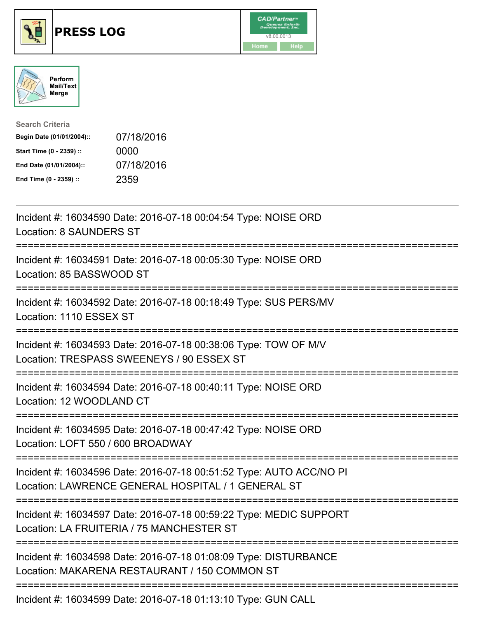





| <b>Search Criteria</b>    |            |
|---------------------------|------------|
| Begin Date (01/01/2004):: | 07/18/2016 |
| Start Time (0 - 2359) ::  | 0000       |
| End Date (01/01/2004)::   | 07/18/2016 |
| End Time (0 - 2359) ::    | 2359       |

| Incident #: 16034590 Date: 2016-07-18 00:04:54 Type: NOISE ORD<br><b>Location: 8 SAUNDERS ST</b>                                                                                                                                                                |
|-----------------------------------------------------------------------------------------------------------------------------------------------------------------------------------------------------------------------------------------------------------------|
| Incident #: 16034591 Date: 2016-07-18 00:05:30 Type: NOISE ORD<br>Location: 85 BASSWOOD ST                                                                                                                                                                      |
| Incident #: 16034592 Date: 2016-07-18 00:18:49 Type: SUS PERS/MV<br>Location: 1110 ESSEX ST                                                                                                                                                                     |
| Incident #: 16034593 Date: 2016-07-18 00:38:06 Type: TOW OF M/V<br>Location: TRESPASS SWEENEYS / 90 ESSEX ST<br>:=================================                                                                                                              |
| Incident #: 16034594 Date: 2016-07-18 00:40:11 Type: NOISE ORD<br>Location: 12 WOODLAND CT<br>;==================================                                                                                                                               |
| Incident #: 16034595 Date: 2016-07-18 00:47:42 Type: NOISE ORD<br>Location: LOFT 550 / 600 BROADWAY                                                                                                                                                             |
| Incident #: 16034596 Date: 2016-07-18 00:51:52 Type: AUTO ACC/NO PI<br>Location: LAWRENCE GENERAL HOSPITAL / 1 GENERAL ST                                                                                                                                       |
| Incident #: 16034597 Date: 2016-07-18 00:59:22 Type: MEDIC SUPPORT<br>Location: LA FRUITERIA / 75 MANCHESTER ST                                                                                                                                                 |
| Incident #: 16034598 Date: 2016-07-18 01:08:09 Type: DISTURBANCE<br>Location: MAKARENA RESTAURANT / 150 COMMON ST                                                                                                                                               |
| $L_{\text{c}}$ , $L_{\text{c}}$ , $L_{\text{c}}$ , $A \cap \Omega$ , $A \cap \Omega$ , $\Gamma$ , $A \cap \Omega$ , $A \cap \Omega$ , $A \cap \Omega$ , $A \cap \Omega$ , $\Gamma$ , $\Gamma$ , $\Gamma$ , $\Omega$ , $\Gamma$ , $\Omega$ , $\Gamma$ , $\Gamma$ |

Incident #: 16034599 Date: 2016-07-18 01:13:10 Type: GUN CALL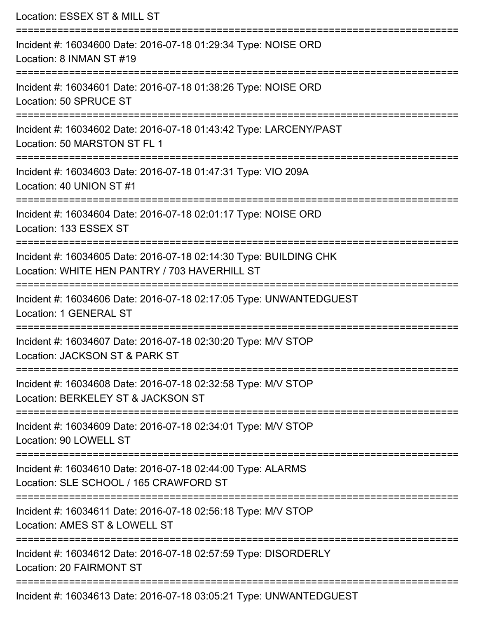| Location: ESSEX ST & MILL ST                                                                                                             |
|------------------------------------------------------------------------------------------------------------------------------------------|
| Incident #: 16034600 Date: 2016-07-18 01:29:34 Type: NOISE ORD<br>Location: 8 INMAN ST #19                                               |
| Incident #: 16034601 Date: 2016-07-18 01:38:26 Type: NOISE ORD<br>Location: 50 SPRUCE ST                                                 |
| Incident #: 16034602 Date: 2016-07-18 01:43:42 Type: LARCENY/PAST<br>Location: 50 MARSTON ST FL 1                                        |
| Incident #: 16034603 Date: 2016-07-18 01:47:31 Type: VIO 209A<br>Location: 40 UNION ST #1                                                |
| Incident #: 16034604 Date: 2016-07-18 02:01:17 Type: NOISE ORD<br>Location: 133 ESSEX ST                                                 |
| Incident #: 16034605 Date: 2016-07-18 02:14:30 Type: BUILDING CHK<br>Location: WHITE HEN PANTRY / 703 HAVERHILL ST                       |
| Incident #: 16034606 Date: 2016-07-18 02:17:05 Type: UNWANTEDGUEST<br>Location: 1 GENERAL ST                                             |
| Incident #: 16034607 Date: 2016-07-18 02:30:20 Type: M/V STOP<br>Location: JACKSON ST & PARK ST                                          |
| :=============================<br>Incident #: 16034608 Date: 2016-07-18 02:32:58 Type: M/V STOP<br>Location: BERKELEY ST & JACKSON ST    |
| Incident #: 16034609 Date: 2016-07-18 02:34:01 Type: M/V STOP<br>Location: 90 LOWELL ST                                                  |
| -------------------------------<br>Incident #: 16034610 Date: 2016-07-18 02:44:00 Type: ALARMS<br>Location: SLE SCHOOL / 165 CRAWFORD ST |
| Incident #: 16034611 Date: 2016-07-18 02:56:18 Type: M/V STOP<br>Location: AMES ST & LOWELL ST                                           |
| Incident #: 16034612 Date: 2016-07-18 02:57:59 Type: DISORDERLY<br>Location: 20 FAIRMONT ST                                              |
| Incident #: 16034613 Date: 2016-07-18 03:05:21 Type: UNWANTEDGUEST                                                                       |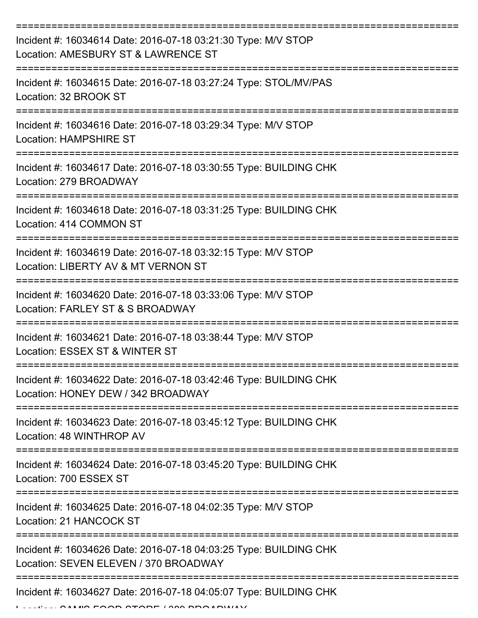| Incident #: 16034614 Date: 2016-07-18 03:21:30 Type: M/V STOP<br>Location: AMESBURY ST & LAWRENCE ST       |
|------------------------------------------------------------------------------------------------------------|
| Incident #: 16034615 Date: 2016-07-18 03:27:24 Type: STOL/MV/PAS<br>Location: 32 BROOK ST                  |
| Incident #: 16034616 Date: 2016-07-18 03:29:34 Type: M/V STOP<br><b>Location: HAMPSHIRE ST</b>             |
| Incident #: 16034617 Date: 2016-07-18 03:30:55 Type: BUILDING CHK<br>Location: 279 BROADWAY                |
| Incident #: 16034618 Date: 2016-07-18 03:31:25 Type: BUILDING CHK<br>Location: 414 COMMON ST               |
| Incident #: 16034619 Date: 2016-07-18 03:32:15 Type: M/V STOP<br>Location: LIBERTY AV & MT VERNON ST       |
| Incident #: 16034620 Date: 2016-07-18 03:33:06 Type: M/V STOP<br>Location: FARLEY ST & S BROADWAY          |
| Incident #: 16034621 Date: 2016-07-18 03:38:44 Type: M/V STOP<br>Location: ESSEX ST & WINTER ST            |
| Incident #: 16034622 Date: 2016-07-18 03:42:46 Type: BUILDING CHK<br>Location: HONEY DEW / 342 BROADWAY    |
| Incident #: 16034623 Date: 2016-07-18 03:45:12 Type: BUILDING CHK<br>Location: 48 WINTHROP AV              |
| Incident #: 16034624 Date: 2016-07-18 03:45:20 Type: BUILDING CHK<br>Location: 700 ESSEX ST                |
| Incident #: 16034625 Date: 2016-07-18 04:02:35 Type: M/V STOP<br>Location: 21 HANCOCK ST                   |
| Incident #: 16034626 Date: 2016-07-18 04:03:25 Type: BUILDING CHK<br>Location: SEVEN ELEVEN / 370 BROADWAY |
| Incident #: 16034627 Date: 2016-07-18 04:05:07 Type: BUILDING CHK                                          |

 $L$ ... ALLIIO FOOD STORE / 389 BROADWAY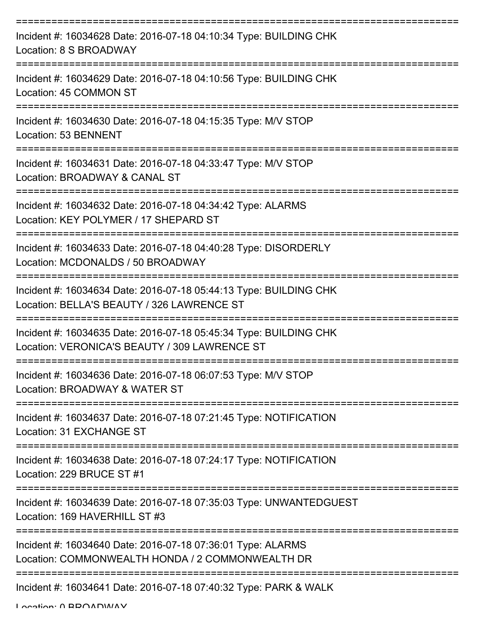| Incident #: 16034628 Date: 2016-07-18 04:10:34 Type: BUILDING CHK<br>Location: 8 S BROADWAY                        |
|--------------------------------------------------------------------------------------------------------------------|
| Incident #: 16034629 Date: 2016-07-18 04:10:56 Type: BUILDING CHK<br>Location: 45 COMMON ST                        |
| Incident #: 16034630 Date: 2016-07-18 04:15:35 Type: M/V STOP<br>Location: 53 BENNENT                              |
| Incident #: 16034631 Date: 2016-07-18 04:33:47 Type: M/V STOP<br>Location: BROADWAY & CANAL ST                     |
| Incident #: 16034632 Date: 2016-07-18 04:34:42 Type: ALARMS<br>Location: KEY POLYMER / 17 SHEPARD ST               |
| Incident #: 16034633 Date: 2016-07-18 04:40:28 Type: DISORDERLY<br>Location: MCDONALDS / 50 BROADWAY               |
| Incident #: 16034634 Date: 2016-07-18 05:44:13 Type: BUILDING CHK<br>Location: BELLA'S BEAUTY / 326 LAWRENCE ST    |
| Incident #: 16034635 Date: 2016-07-18 05:45:34 Type: BUILDING CHK<br>Location: VERONICA'S BEAUTY / 309 LAWRENCE ST |
| Incident #: 16034636 Date: 2016-07-18 06:07:53 Type: M/V STOP<br>Location: BROADWAY & WATER ST                     |
| Incident #: 16034637 Date: 2016-07-18 07:21:45 Type: NOTIFICATION<br>Location: 31 EXCHANGE ST                      |
| Incident #: 16034638 Date: 2016-07-18 07:24:17 Type: NOTIFICATION<br>Location: 229 BRUCE ST #1                     |
| Incident #: 16034639 Date: 2016-07-18 07:35:03 Type: UNWANTEDGUEST<br>Location: 169 HAVERHILL ST #3                |
| Incident #: 16034640 Date: 2016-07-18 07:36:01 Type: ALARMS<br>Location: COMMONWEALTH HONDA / 2 COMMONWEALTH DR    |
| Incident #: 16034641 Date: 2016-07-18 07:40:32 Type: PARK & WALK                                                   |

Location: 0 BROADWAY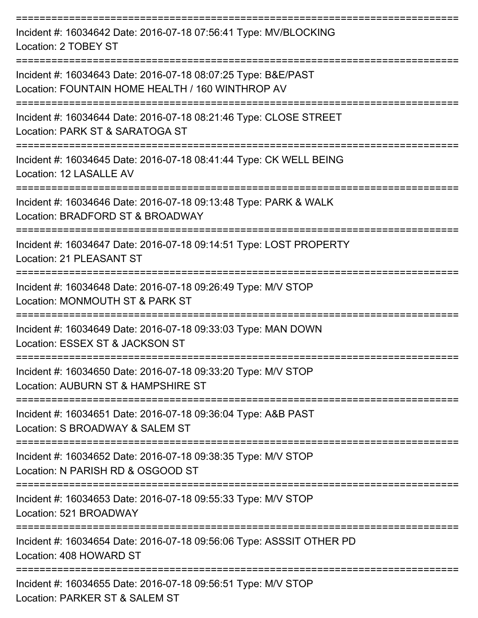| Incident #: 16034642 Date: 2016-07-18 07:56:41 Type: MV/BLOCKING<br>Location: 2 TOBEY ST                          |
|-------------------------------------------------------------------------------------------------------------------|
| Incident #: 16034643 Date: 2016-07-18 08:07:25 Type: B&E/PAST<br>Location: FOUNTAIN HOME HEALTH / 160 WINTHROP AV |
| Incident #: 16034644 Date: 2016-07-18 08:21:46 Type: CLOSE STREET<br>Location: PARK ST & SARATOGA ST              |
| Incident #: 16034645 Date: 2016-07-18 08:41:44 Type: CK WELL BEING<br>Location: 12 LASALLE AV                     |
| Incident #: 16034646 Date: 2016-07-18 09:13:48 Type: PARK & WALK<br>Location: BRADFORD ST & BROADWAY              |
| Incident #: 16034647 Date: 2016-07-18 09:14:51 Type: LOST PROPERTY<br>Location: 21 PLEASANT ST                    |
| Incident #: 16034648 Date: 2016-07-18 09:26:49 Type: M/V STOP<br>Location: MONMOUTH ST & PARK ST                  |
| Incident #: 16034649 Date: 2016-07-18 09:33:03 Type: MAN DOWN<br>Location: ESSEX ST & JACKSON ST                  |
| Incident #: 16034650 Date: 2016-07-18 09:33:20 Type: M/V STOP<br>Location: AUBURN ST & HAMPSHIRE ST               |
| Incident #: 16034651 Date: 2016-07-18 09:36:04 Type: A&B PAST<br>Location: S BROADWAY & SALEM ST                  |
| Incident #: 16034652 Date: 2016-07-18 09:38:35 Type: M/V STOP<br>Location: N PARISH RD & OSGOOD ST                |
| Incident #: 16034653 Date: 2016-07-18 09:55:33 Type: M/V STOP<br>Location: 521 BROADWAY                           |
| Incident #: 16034654 Date: 2016-07-18 09:56:06 Type: ASSSIT OTHER PD<br>Location: 408 HOWARD ST                   |
| Incident #: 16034655 Date: 2016-07-18 09:56:51 Type: M/V STOP<br>Location: PARKER ST & SALEM ST                   |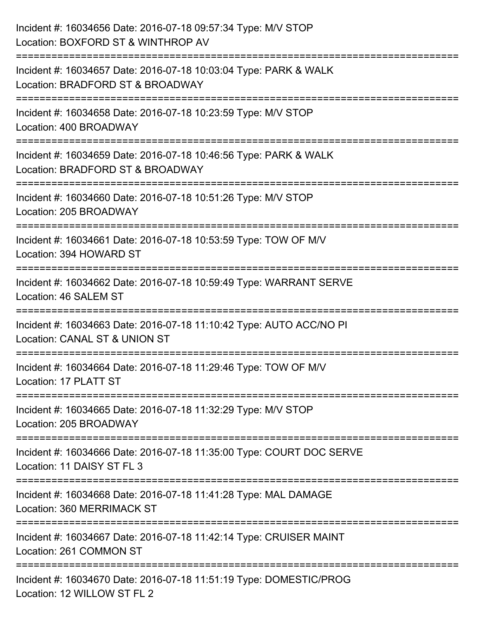| Incident #: 16034656 Date: 2016-07-18 09:57:34 Type: M/V STOP<br>Location: BOXFORD ST & WINTHROP AV                                                           |
|---------------------------------------------------------------------------------------------------------------------------------------------------------------|
| :=======================<br>Incident #: 16034657 Date: 2016-07-18 10:03:04 Type: PARK & WALK<br>Location: BRADFORD ST & BROADWAY                              |
| Incident #: 16034658 Date: 2016-07-18 10:23:59 Type: M/V STOP<br>Location: 400 BROADWAY<br>========================                                           |
| Incident #: 16034659 Date: 2016-07-18 10:46:56 Type: PARK & WALK<br>Location: BRADFORD ST & BROADWAY                                                          |
| Incident #: 16034660 Date: 2016-07-18 10:51:26 Type: M/V STOP<br>Location: 205 BROADWAY<br>=================================<br>============================= |
| Incident #: 16034661 Date: 2016-07-18 10:53:59 Type: TOW OF M/V<br>Location: 394 HOWARD ST                                                                    |
| Incident #: 16034662 Date: 2016-07-18 10:59:49 Type: WARRANT SERVE<br>Location: 46 SALEM ST                                                                   |
| ;===================================<br>Incident #: 16034663 Date: 2016-07-18 11:10:42 Type: AUTO ACC/NO PI<br>Location: CANAL ST & UNION ST                  |
| Incident #: 16034664 Date: 2016-07-18 11:29:46 Type: TOW OF M/V<br>Location: 17 PLATT ST                                                                      |
| Incident #: 16034665 Date: 2016-07-18 11:32:29 Type: M/V STOP<br>Location: 205 BROADWAY                                                                       |
| Incident #: 16034666 Date: 2016-07-18 11:35:00 Type: COURT DOC SERVE<br>Location: 11 DAISY ST FL 3                                                            |
| Incident #: 16034668 Date: 2016-07-18 11:41:28 Type: MAL DAMAGE<br><b>Location: 360 MERRIMACK ST</b>                                                          |
| Incident #: 16034667 Date: 2016-07-18 11:42:14 Type: CRUISER MAINT<br>Location: 261 COMMON ST                                                                 |
| Incident #: 16034670 Date: 2016-07-18 11:51:19 Type: DOMESTIC/PROG<br>Location: 12 WILLOW ST FL 2                                                             |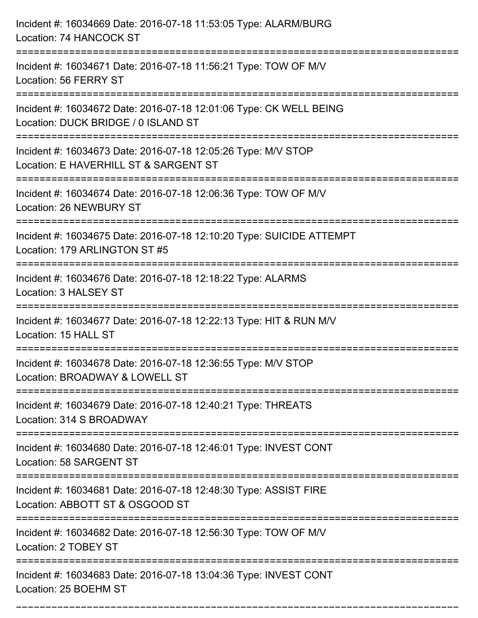| Incident #: 16034669 Date: 2016-07-18 11:53:05 Type: ALARM/BURG<br>Location: 74 HANCOCK ST                                           |
|--------------------------------------------------------------------------------------------------------------------------------------|
| Incident #: 16034671 Date: 2016-07-18 11:56:21 Type: TOW OF M/V<br>Location: 56 FERRY ST                                             |
| Incident #: 16034672 Date: 2016-07-18 12:01:06 Type: CK WELL BEING<br>Location: DUCK BRIDGE / 0 ISLAND ST<br>:====================== |
| Incident #: 16034673 Date: 2016-07-18 12:05:26 Type: M/V STOP<br>Location: E HAVERHILL ST & SARGENT ST                               |
| Incident #: 16034674 Date: 2016-07-18 12:06:36 Type: TOW OF M/V<br>Location: 26 NEWBURY ST                                           |
| Incident #: 16034675 Date: 2016-07-18 12:10:20 Type: SUICIDE ATTEMPT<br>Location: 179 ARLINGTON ST #5                                |
| Incident #: 16034676 Date: 2016-07-18 12:18:22 Type: ALARMS<br>Location: 3 HALSEY ST                                                 |
| Incident #: 16034677 Date: 2016-07-18 12:22:13 Type: HIT & RUN M/V<br>Location: 15 HALL ST                                           |
| Incident #: 16034678 Date: 2016-07-18 12:36:55 Type: M/V STOP<br>Location: BROADWAY & LOWELL ST                                      |
| Incident #: 16034679 Date: 2016-07-18 12:40:21 Type: THREATS<br>Location: 314 S BROADWAY                                             |
| Incident #: 16034680 Date: 2016-07-18 12:46:01 Type: INVEST CONT<br>Location: 58 SARGENT ST                                          |
| Incident #: 16034681 Date: 2016-07-18 12:48:30 Type: ASSIST FIRE<br>Location: ABBOTT ST & OSGOOD ST                                  |
| Incident #: 16034682 Date: 2016-07-18 12:56:30 Type: TOW OF M/V<br>Location: 2 TOBEY ST                                              |
| Incident #: 16034683 Date: 2016-07-18 13:04:36 Type: INVEST CONT<br>Location: 25 BOEHM ST                                            |

===========================================================================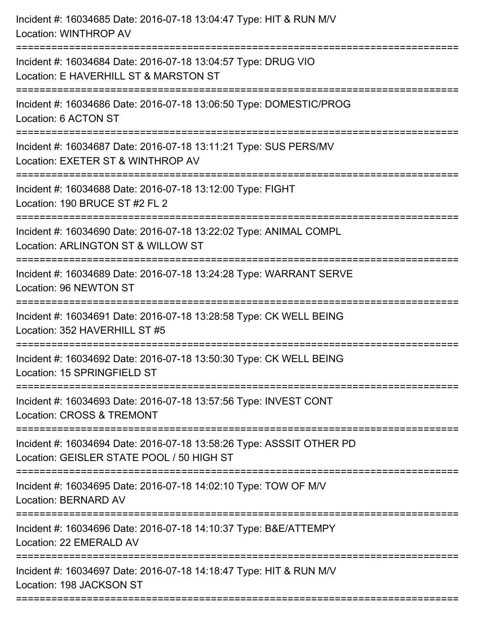| Incident #: 16034685 Date: 2016-07-18 13:04:47 Type: HIT & RUN M/V<br>Location: WINTHROP AV<br>:========================= |
|---------------------------------------------------------------------------------------------------------------------------|
| Incident #: 16034684 Date: 2016-07-18 13:04:57 Type: DRUG VIO<br>Location: E HAVERHILL ST & MARSTON ST                    |
| Incident #: 16034686 Date: 2016-07-18 13:06:50 Type: DOMESTIC/PROG<br>Location: 6 ACTON ST                                |
| Incident #: 16034687 Date: 2016-07-18 13:11:21 Type: SUS PERS/MV<br>Location: EXETER ST & WINTHROP AV                     |
| Incident #: 16034688 Date: 2016-07-18 13:12:00 Type: FIGHT<br>Location: 190 BRUCE ST #2 FL 2                              |
| Incident #: 16034690 Date: 2016-07-18 13:22:02 Type: ANIMAL COMPL<br>Location: ARLINGTON ST & WILLOW ST                   |
| Incident #: 16034689 Date: 2016-07-18 13:24:28 Type: WARRANT SERVE<br>Location: 96 NEWTON ST                              |
| Incident #: 16034691 Date: 2016-07-18 13:28:58 Type: CK WELL BEING<br>Location: 352 HAVERHILL ST #5                       |
| Incident #: 16034692 Date: 2016-07-18 13:50:30 Type: CK WELL BEING<br>Location: 15 SPRINGFIELD ST                         |
| Incident #: 16034693 Date: 2016-07-18 13:57:56 Type: INVEST CONT<br>Location: CROSS & TREMONT                             |
| Incident #: 16034694 Date: 2016-07-18 13:58:26 Type: ASSSIT OTHER PD<br>Location: GEISLER STATE POOL / 50 HIGH ST         |
| Incident #: 16034695 Date: 2016-07-18 14:02:10 Type: TOW OF M/V<br>Location: BERNARD AV                                   |
| Incident #: 16034696 Date: 2016-07-18 14:10:37 Type: B&E/ATTEMPY<br>Location: 22 EMERALD AV                               |
| Incident #: 16034697 Date: 2016-07-18 14:18:47 Type: HIT & RUN M/V<br>Location: 198 JACKSON ST                            |
|                                                                                                                           |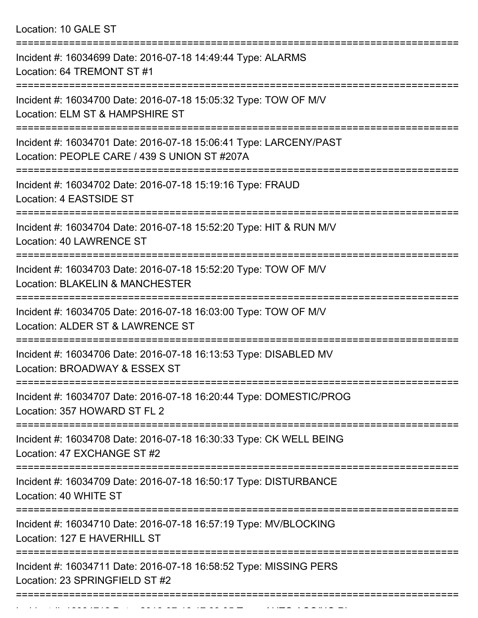Location: 10 GALE ST

| Incident #: 16034699 Date: 2016-07-18 14:49:44 Type: ALARMS<br>Location: 64 TREMONT ST #1                         |
|-------------------------------------------------------------------------------------------------------------------|
| Incident #: 16034700 Date: 2016-07-18 15:05:32 Type: TOW OF M/V<br>Location: ELM ST & HAMPSHIRE ST                |
| Incident #: 16034701 Date: 2016-07-18 15:06:41 Type: LARCENY/PAST<br>Location: PEOPLE CARE / 439 S UNION ST #207A |
| Incident #: 16034702 Date: 2016-07-18 15:19:16 Type: FRAUD<br>Location: 4 EASTSIDE ST                             |
| Incident #: 16034704 Date: 2016-07-18 15:52:20 Type: HIT & RUN M/V<br>Location: 40 LAWRENCE ST                    |
| Incident #: 16034703 Date: 2016-07-18 15:52:20 Type: TOW OF M/V<br><b>Location: BLAKELIN &amp; MANCHESTER</b>     |
| Incident #: 16034705 Date: 2016-07-18 16:03:00 Type: TOW OF M/V<br>Location: ALDER ST & LAWRENCE ST               |
| Incident #: 16034706 Date: 2016-07-18 16:13:53 Type: DISABLED MV<br>Location: BROADWAY & ESSEX ST                 |
| Incident #: 16034707 Date: 2016-07-18 16:20:44 Type: DOMESTIC/PROG<br>Location: 357 HOWARD ST FL 2                |
| Incident #: 16034708 Date: 2016-07-18 16:30:33 Type: CK WELL BEING<br>Location: 47 EXCHANGE ST #2                 |
| Incident #: 16034709 Date: 2016-07-18 16:50:17 Type: DISTURBANCE<br>Location: 40 WHITE ST                         |
| Incident #: 16034710 Date: 2016-07-18 16:57:19 Type: MV/BLOCKING<br>Location: 127 E HAVERHILL ST                  |
| Incident #: 16034711 Date: 2016-07-18 16:58:52 Type: MISSING PERS<br>Location: 23 SPRINGFIELD ST #2               |
|                                                                                                                   |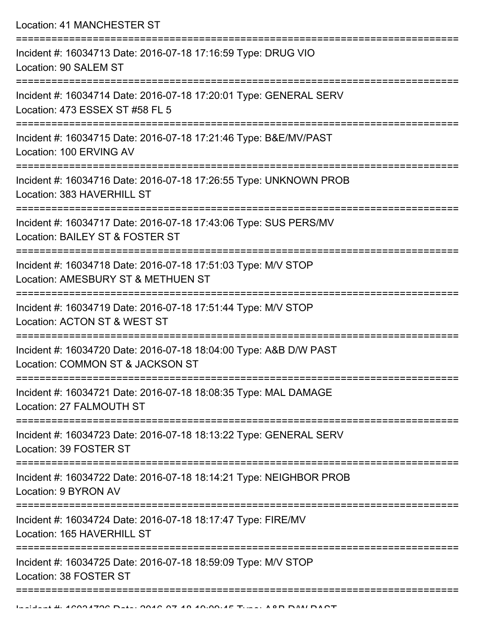Location: 41 MANCHESTER ST

| Incident #: 16034713 Date: 2016-07-18 17:16:59 Type: DRUG VIO<br>Location: 90 SALEM ST                           |
|------------------------------------------------------------------------------------------------------------------|
| Incident #: 16034714 Date: 2016-07-18 17:20:01 Type: GENERAL SERV<br>Location: 473 ESSEX ST #58 FL 5             |
| Incident #: 16034715 Date: 2016-07-18 17:21:46 Type: B&E/MV/PAST<br>Location: 100 ERVING AV                      |
| Incident #: 16034716 Date: 2016-07-18 17:26:55 Type: UNKNOWN PROB<br>Location: 383 HAVERHILL ST<br>------------- |
| Incident #: 16034717 Date: 2016-07-18 17:43:06 Type: SUS PERS/MV<br>Location: BAILEY ST & FOSTER ST              |
| Incident #: 16034718 Date: 2016-07-18 17:51:03 Type: M/V STOP<br>Location: AMESBURY ST & METHUEN ST              |
| Incident #: 16034719 Date: 2016-07-18 17:51:44 Type: M/V STOP<br>Location: ACTON ST & WEST ST                    |
| Incident #: 16034720 Date: 2016-07-18 18:04:00 Type: A&B D/W PAST<br>Location: COMMON ST & JACKSON ST            |
| Incident #: 16034721 Date: 2016-07-18 18:08:35 Type: MAL DAMAGE<br>Location: 27 FALMOUTH ST                      |
| Incident #: 16034723 Date: 2016-07-18 18:13:22 Type: GENERAL SERV<br>Location: 39 FOSTER ST                      |
| Incident #: 16034722 Date: 2016-07-18 18:14:21 Type: NEIGHBOR PROB<br>Location: 9 BYRON AV                       |
| Incident #: 16034724 Date: 2016-07-18 18:17:47 Type: FIRE/MV<br>Location: 165 HAVERHILL ST                       |
| Incident #: 16034725 Date: 2016-07-18 18:59:09 Type: M/V STOP<br>Location: 38 FOSTER ST                          |
|                                                                                                                  |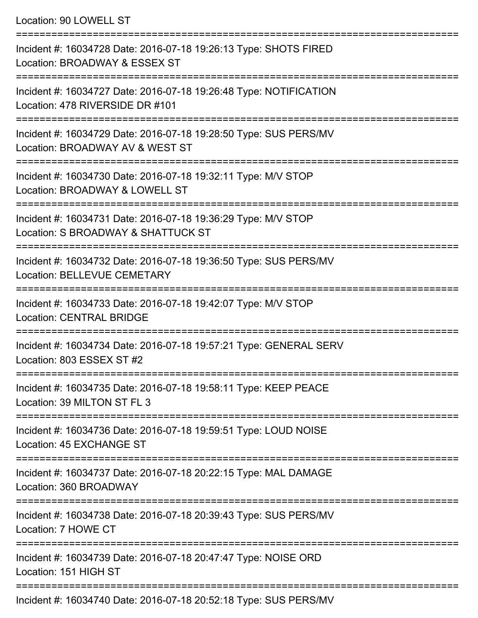## Location: 90 LOWELL ST

| Incident #: 16034728 Date: 2016-07-18 19:26:13 Type: SHOTS FIRED<br>Location: BROADWAY & ESSEX ST      |
|--------------------------------------------------------------------------------------------------------|
| Incident #: 16034727 Date: 2016-07-18 19:26:48 Type: NOTIFICATION<br>Location: 478 RIVERSIDE DR #101   |
| Incident #: 16034729 Date: 2016-07-18 19:28:50 Type: SUS PERS/MV<br>Location: BROADWAY AV & WEST ST    |
| Incident #: 16034730 Date: 2016-07-18 19:32:11 Type: M/V STOP<br>Location: BROADWAY & LOWELL ST        |
| Incident #: 16034731 Date: 2016-07-18 19:36:29 Type: M/V STOP<br>Location: S BROADWAY & SHATTUCK ST    |
| Incident #: 16034732 Date: 2016-07-18 19:36:50 Type: SUS PERS/MV<br><b>Location: BELLEVUE CEMETARY</b> |
| Incident #: 16034733 Date: 2016-07-18 19:42:07 Type: M/V STOP<br><b>Location: CENTRAL BRIDGE</b>       |
| Incident #: 16034734 Date: 2016-07-18 19:57:21 Type: GENERAL SERV<br>Location: 803 ESSEX ST #2         |
| Incident #: 16034735 Date: 2016-07-18 19:58:11 Type: KEEP PEACE<br>Location: 39 MILTON ST FL 3         |
| Incident #: 16034736 Date: 2016-07-18 19:59:51 Type: LOUD NOISE<br>Location: 45 EXCHANGE ST            |
| Incident #: 16034737 Date: 2016-07-18 20:22:15 Type: MAL DAMAGE<br>Location: 360 BROADWAY              |
| Incident #: 16034738 Date: 2016-07-18 20:39:43 Type: SUS PERS/MV<br>Location: 7 HOWE CT                |
| Incident #: 16034739 Date: 2016-07-18 20:47:47 Type: NOISE ORD<br>Location: 151 HIGH ST                |
|                                                                                                        |

Incident #: 16034740 Date: 2016-07-18 20:52:18 Type: SUS PERS/MV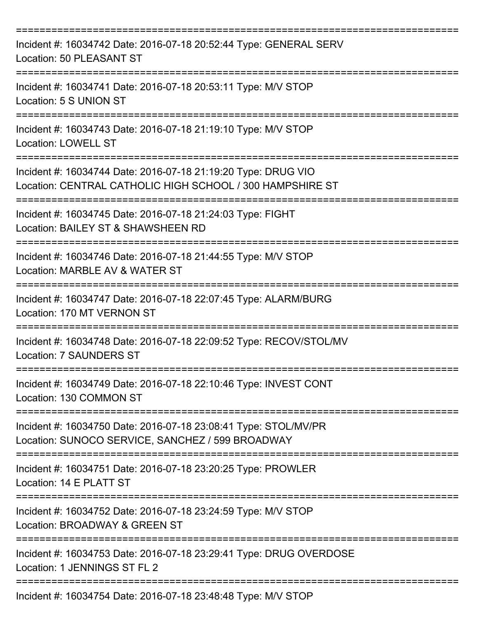| Incident #: 16034742 Date: 2016-07-18 20:52:44 Type: GENERAL SERV<br>Location: 50 PLEASANT ST                              |
|----------------------------------------------------------------------------------------------------------------------------|
| Incident #: 16034741 Date: 2016-07-18 20:53:11 Type: M/V STOP<br>Location: 5 S UNION ST                                    |
| Incident #: 16034743 Date: 2016-07-18 21:19:10 Type: M/V STOP<br><b>Location: LOWELL ST</b>                                |
| Incident #: 16034744 Date: 2016-07-18 21:19:20 Type: DRUG VIO<br>Location: CENTRAL CATHOLIC HIGH SCHOOL / 300 HAMPSHIRE ST |
| Incident #: 16034745 Date: 2016-07-18 21:24:03 Type: FIGHT<br>Location: BAILEY ST & SHAWSHEEN RD                           |
| ===================<br>Incident #: 16034746 Date: 2016-07-18 21:44:55 Type: M/V STOP<br>Location: MARBLE AV & WATER ST     |
| Incident #: 16034747 Date: 2016-07-18 22:07:45 Type: ALARM/BURG<br>Location: 170 MT VERNON ST                              |
| Incident #: 16034748 Date: 2016-07-18 22:09:52 Type: RECOV/STOL/MV<br><b>Location: 7 SAUNDERS ST</b>                       |
| Incident #: 16034749 Date: 2016-07-18 22:10:46 Type: INVEST CONT<br>Location: 130 COMMON ST<br>---------------             |
| Incident #: 16034750 Date: 2016-07-18 23:08:41 Type: STOL/MV/PR<br>Location: SUNOCO SERVICE, SANCHEZ / 599 BROADWAY        |
| Incident #: 16034751 Date: 2016-07-18 23:20:25 Type: PROWLER<br>Location: 14 E PLATT ST                                    |
| =====================<br>Incident #: 16034752 Date: 2016-07-18 23:24:59 Type: M/V STOP<br>Location: BROADWAY & GREEN ST    |
| Incident #: 16034753 Date: 2016-07-18 23:29:41 Type: DRUG OVERDOSE<br>Location: 1 JENNINGS ST FL 2                         |
| Incident #: 16034754 Date: 2016-07-18 23:48:48 Type: M/V STOP                                                              |